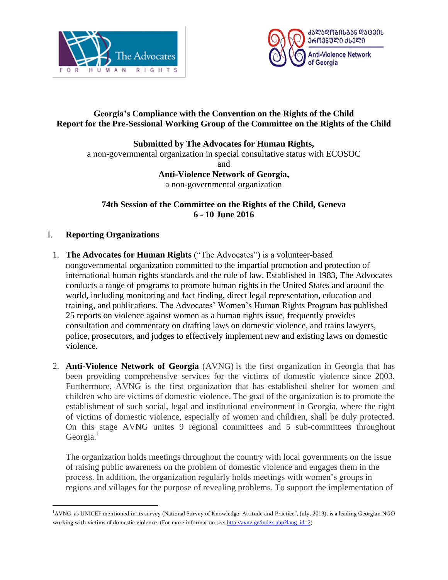



## **Georgia's Compliance with the Convention on the Rights of the Child Report for the Pre-Sessional Working Group of the Committee on the Rights of the Child**

#### **Submitted by The Advocates for Human Rights,**

a non-governmental organization in special consultative status with ECOSOC and **Anti-Violence Network of Georgia,**

a non-governmental organization

**74th Session of the Committee on the Rights of the Child, Geneva 6 - 10 June 2016**

## I. **Reporting Organizations**

 $\overline{a}$ 

- 1. **The Advocates for Human Rights** ("The Advocates") is a volunteer-based nongovernmental organization committed to the impartial promotion and protection of international human rights standards and the rule of law. Established in 1983, The Advocates conducts a range of programs to promote human rights in the United States and around the world, including monitoring and fact finding, direct legal representation, education and training, and publications. The Advocates' Women's Human Rights Program has published 25 reports on violence against women as a human rights issue, frequently provides consultation and commentary on drafting laws on domestic violence, and trains lawyers, police, prosecutors, and judges to effectively implement new and existing laws on domestic violence.
- 2. **Anti-Violence Network of Georgia** (AVNG) is the first organization in Georgia that has been providing comprehensive services for the victims of domestic violence since 2003. Furthermore, AVNG is the first organization that has established shelter for women and children who are victims of domestic violence. The goal of the organization is to promote the establishment of such social, legal and institutional environment in Georgia, where the right of victims of domestic violence, especially of women and children, shall be duly protected. On this stage AVNG unites 9 regional committees and 5 sub-committees throughout Georgia.<sup>1</sup>

The organization holds meetings throughout the country with local governments on the issue of raising public awareness on the problem of domestic violence and engages them in the process. In addition, the organization regularly holds meetings with women's groups in regions and villages for the purpose of revealing problems. To support the implementation of

<sup>1</sup>AVNG, as UNICEF mentioned in its survey (National Survey of Knowledge, Attitude and Practice", July, 2013), is a leading Georgian NGO working with victims of domestic violence. (For more information see: [http://avng.ge/index.php?lang\\_id=2](http://avng.ge/index.php?lang_id=2))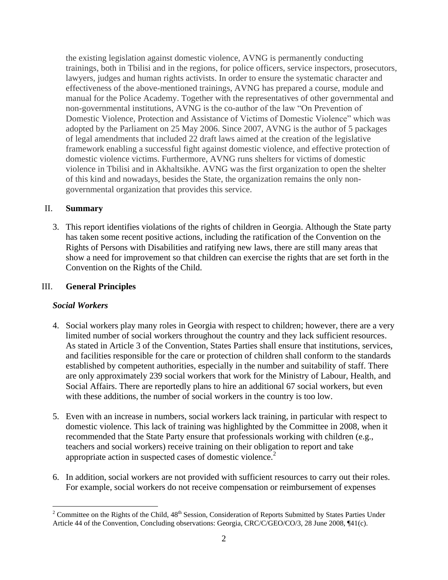the existing legislation against domestic violence, AVNG is permanently conducting trainings, both in Tbilisi and in the regions, for police officers, service inspectors, prosecutors, lawyers, judges and human rights activists. In order to ensure the systematic character and effectiveness of the above-mentioned trainings, AVNG has prepared a course, module and manual for the Police Academy. Together with the representatives of other governmental and non-governmental institutions, AVNG is the co-author of the law "On Prevention of Domestic Violence, Protection and Assistance of Victims of Domestic Violence" which was adopted by the Parliament on 25 May 2006. Since 2007, AVNG is the author of 5 packages of legal amendments that included 22 draft laws aimed at the creation of the legislative framework enabling a successful fight against domestic violence, and effective protection of domestic violence victims. Furthermore, AVNG runs shelters for victims of domestic violence in Tbilisi and in Akhaltsikhe. AVNG was the first organization to open the shelter of this kind and nowadays, besides the State, the organization remains the only nongovernmental organization that provides this service.

#### II. **Summary**

3. This report identifies violations of the rights of children in Georgia. Although the State party has taken some recent positive actions, including the ratification of the Convention on the Rights of Persons with Disabilities and ratifying new laws, there are still many areas that show a need for improvement so that children can exercise the rights that are set forth in the Convention on the Rights of the Child.

### III. **General Principles**

#### *Social Workers*

 $\overline{a}$ 

- 4. Social workers play many roles in Georgia with respect to children; however, there are a very limited number of social workers throughout the country and they lack sufficient resources. As stated in Article 3 of the Convention, States Parties shall ensure that institutions, services, and facilities responsible for the care or protection of children shall conform to the standards established by competent authorities, especially in the number and suitability of staff. There are only approximately 239 social workers that work for the Ministry of Labour, Health, and Social Affairs. There are reportedly plans to hire an additional 67 social workers, but even with these additions, the number of social workers in the country is too low.
- 5. Even with an increase in numbers, social workers lack training, in particular with respect to domestic violence. This lack of training was highlighted by the Committee in 2008, when it recommended that the State Party ensure that professionals working with children (e.g., teachers and social workers) receive training on their obligation to report and take appropriate action in suspected cases of domestic violence.<sup>2</sup>
- 6. In addition, social workers are not provided with sufficient resources to carry out their roles. For example, social workers do not receive compensation or reimbursement of expenses

 $2$  Committee on the Rights of the Child,  $48<sup>th</sup>$  Session, Consideration of Reports Submitted by States Parties Under Article 44 of the Convention, Concluding observations: Georgia, CRC/C/GEO/CO/3, 28 June 2008, ¶41(c).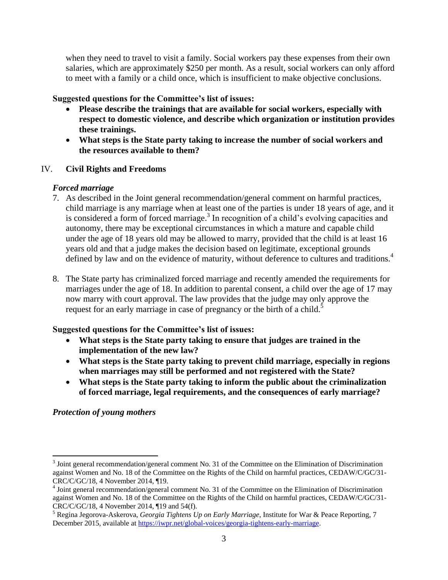when they need to travel to visit a family. Social workers pay these expenses from their own salaries, which are approximately \$250 per month. As a result, social workers can only afford to meet with a family or a child once, which is insufficient to make objective conclusions.

### **Suggested questions for the Committee's list of issues:**

- **Please describe the trainings that are available for social workers, especially with respect to domestic violence, and describe which organization or institution provides these trainings.**
- **What steps is the State party taking to increase the number of social workers and the resources available to them?**

### IV. **Civil Rights and Freedoms**

### *Forced marriage*

- 7. As described in the Joint general recommendation/general comment on harmful practices, child marriage is any marriage when at least one of the parties is under 18 years of age, and it is considered a form of forced marriage.<sup>3</sup> In recognition of a child's evolving capacities and autonomy, there may be exceptional circumstances in which a mature and capable child under the age of 18 years old may be allowed to marry, provided that the child is at least 16 years old and that a judge makes the decision based on legitimate, exceptional grounds defined by law and on the evidence of maturity, without deference to cultures and traditions.<sup>4</sup>
- 8. The State party has criminalized forced marriage and recently amended the requirements for marriages under the age of 18. In addition to parental consent, a child over the age of 17 may now marry with court approval. The law provides that the judge may only approve the request for an early marriage in case of pregnancy or the birth of a child.<sup>5</sup>

### **Suggested questions for the Committee's list of issues:**

- **What steps is the State party taking to ensure that judges are trained in the implementation of the new law?**
- **What steps is the State party taking to prevent child marriage, especially in regions when marriages may still be performed and not registered with the State?**
- **What steps is the State party taking to inform the public about the criminalization of forced marriage, legal requirements, and the consequences of early marriage?**

# *Protection of young mothers*

 $\overline{a}$ 

 $3$  Joint general recommendation/general comment No. 31 of the Committee on the Elimination of Discrimination against Women and No. 18 of the Committee on the Rights of the Child on harmful practices, CEDAW/C/GC/31- CRC/C/GC/18, 4 November 2014, ¶19.

<sup>&</sup>lt;sup>4</sup> Joint general recommendation/general comment No. 31 of the Committee on the Elimination of Discrimination against Women and No. 18 of the Committee on the Rights of the Child on harmful practices, CEDAW/C/GC/31- CRC/C/GC/18, 4 November 2014, ¶19 and 54(f).

<sup>5</sup> Regina Jegorova-Askerova, *Georgia Tightens Up on Early Marriage*, Institute for War & Peace Reporting, 7 December 2015, available at [https://iwpr.net/global-voices/georgia-tightens-early-marriage.](https://iwpr.net/global-voices/georgia-tightens-early-marriage)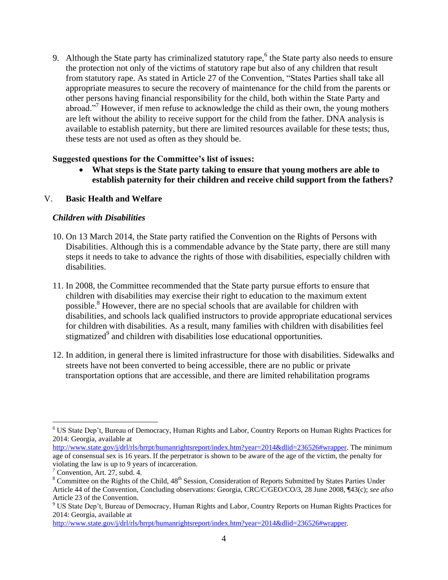9. Although the State party has criminalized statutory rape,<sup>6</sup> the State party also needs to ensure the protection not only of the victims of statutory rape but also of any children that result from statutory rape. As stated in Article 27 of the Convention, "States Parties shall take all appropriate measures to secure the recovery of maintenance for the child from the parents or other persons having financial responsibility for the child, both within the State Party and abroad."<sup>7</sup> However, if men refuse to acknowledge the child as their own, the young mothers are left without the ability to receive support for the child from the father. DNA analysis is available to establish paternity, but there are limited resources available for these tests; thus, these tests are not used as often as they should be.

#### **Suggested questions for the Committee's list of issues:**

 **What steps is the State party taking to ensure that young mothers are able to establish paternity for their children and receive child support from the fathers?**

#### V. **Basic Health and Welfare**

#### *Children with Disabilities*

- 10. On 13 March 2014, the State party ratified the Convention on the Rights of Persons with Disabilities. Although this is a commendable advance by the State party, there are still many steps it needs to take to advance the rights of those with disabilities, especially children with disabilities.
- 11. In 2008, the Committee recommended that the State party pursue efforts to ensure that children with disabilities may exercise their right to education to the maximum extent possible.<sup>8</sup> However, there are no special schools that are available for children with disabilities, and schools lack qualified instructors to provide appropriate educational services for children with disabilities. As a result, many families with children with disabilities feel stigmatized<sup>9</sup> and children with disabilities lose educational opportunities.
- 12. In addition, in general there is limited infrastructure for those with disabilities. Sidewalks and streets have not been converted to being accessible, there are no public or private transportation options that are accessible, and there are limited rehabilitation programs

 $\overline{a}$ 

<sup>6</sup> US State Dep't, Bureau of Democracy, Human Rights and Labor, Country Reports on Human Rights Practices for 2014: Georgia, available at

[http://www.state.gov/j/drl/rls/hrrpt/humanrightsreport/index.htm?year=2014&dlid=236526#wrapper.](http://www.state.gov/j/drl/rls/hrrpt/humanrightsreport/index.htm?year=2014&dlid=236526#wrapper) The minimum age of consensual sex is 16 years. If the perpetrator is shown to be aware of the age of the victim, the penalty for violating the law is up to 9 years of incarceration.

 $7$  Convention, Art. 27, subd. 4.

<sup>&</sup>lt;sup>8</sup> Committee on the Rights of the Child, 48<sup>th</sup> Session, Consideration of Reports Submitted by States Parties Under Article 44 of the Convention, Concluding observations: Georgia, CRC/C/GEO/CO/3, 28 June 2008, ¶43(c); *see also*  Article 23 of the Convention.

<sup>9</sup> US State Dep't, Bureau of Democracy, Human Rights and Labor, Country Reports on Human Rights Practices for 2014: Georgia, available at

[http://www.state.gov/j/drl/rls/hrrpt/humanrightsreport/index.htm?year=2014&dlid=236526#wrapper.](http://www.state.gov/j/drl/rls/hrrpt/humanrightsreport/index.htm?year=2014&dlid=236526#wrapper)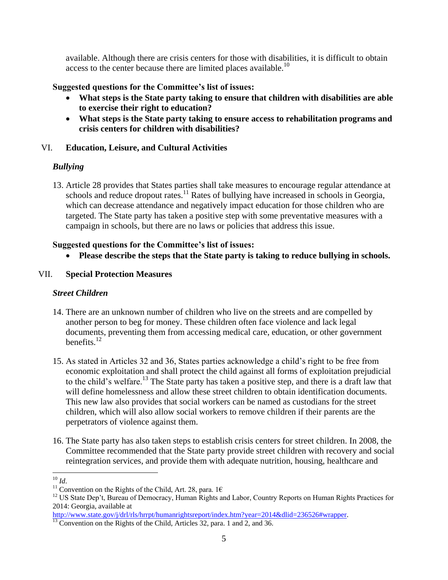available. Although there are crisis centers for those with disabilities, it is difficult to obtain access to the center because there are limited places available.<sup>10</sup>

## **Suggested questions for the Committee's list of issues:**

- **What steps is the State party taking to ensure that children with disabilities are able to exercise their right to education?**
- **What steps is the State party taking to ensure access to rehabilitation programs and crisis centers for children with disabilities?**

## VI. **Education, Leisure, and Cultural Activities**

# *Bullying*

13. Article 28 provides that States parties shall take measures to encourage regular attendance at schools and reduce dropout rates.<sup>11</sup> Rates of bullying have increased in schools in Georgia, which can decrease attendance and negatively impact education for those children who are targeted. The State party has taken a positive step with some preventative measures with a campaign in schools, but there are no laws or policies that address this issue.

## **Suggested questions for the Committee's list of issues:**

**Please describe the steps that the State party is taking to reduce bullying in schools.**

## VII. **Special Protection Measures**

# *Street Children*

- 14. There are an unknown number of children who live on the streets and are compelled by another person to beg for money. These children often face violence and lack legal documents, preventing them from accessing medical care, education, or other government benefits. $12$
- 15. As stated in Articles 32 and 36, States parties acknowledge a child's right to be free from economic exploitation and shall protect the child against all forms of exploitation prejudicial to the child's welfare.<sup>13</sup> The State party has taken a positive step, and there is a draft law that will define homelessness and allow these street children to obtain identification documents. This new law also provides that social workers can be named as custodians for the street children, which will also allow social workers to remove children if their parents are the perpetrators of violence against them.
- 16. The State party has also taken steps to establish crisis centers for street children. In 2008, the Committee recommended that the State party provide street children with recovery and social reintegration services, and provide them with adequate nutrition, housing, healthcare and

[http://www.state.gov/j/drl/rls/hrrpt/humanrightsreport/index.htm?year=2014&dlid=236526#wrapper.](http://www.state.gov/j/drl/rls/hrrpt/humanrightsreport/index.htm?year=2014&dlid=236526#wrapper)

 $\overline{a}$ <sup>10</sup> *Id*.

<sup>&</sup>lt;sup>11</sup> Convention on the Rights of the Child, Art. 28, para. 1 $\epsilon$ 

<sup>&</sup>lt;sup>12</sup> US State Dep't, Bureau of Democracy, Human Rights and Labor, Country Reports on Human Rights Practices for 2014: Georgia, available at

<sup>&</sup>lt;sup>13</sup> Convention on the Rights of the Child, Articles 32, para. 1 and 2, and 36.